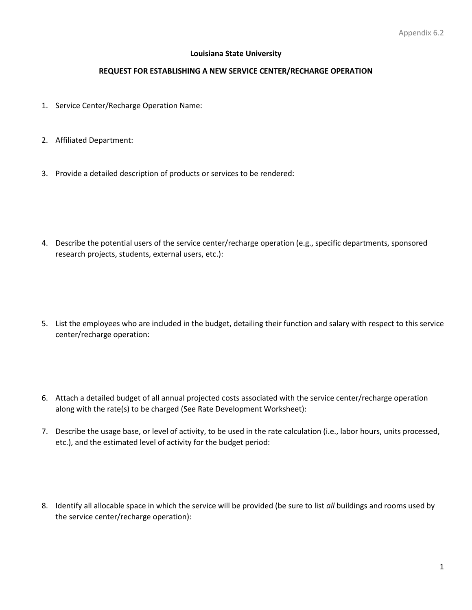## **Louisiana State University**

## **REQUEST FOR ESTABLISHING A NEW SERVICE CENTER/RECHARGE OPERATION**

- 1. Service Center/Recharge Operation Name:
- 2. Affiliated Department:
- 3. Provide a detailed description of products or services to be rendered:
- 4. Describe the potential users of the service center/recharge operation (e.g., specific departments, sponsored research projects, students, external users, etc.):
- 5. List the employees who are included in the budget, detailing their function and salary with respect to this service center/recharge operation:
- 6. Attach a detailed budget of all annual projected costs associated with the service center/recharge operation along with the rate(s) to be charged (See Rate Development Worksheet):
- 7. Describe the usage base, or level of activity, to be used in the rate calculation (i.e., labor hours, units processed, etc.), and the estimated level of activity for the budget period:
- 8. Identify all allocable space in which the service will be provided (be sure to list *all* buildings and rooms used by the service center/recharge operation):